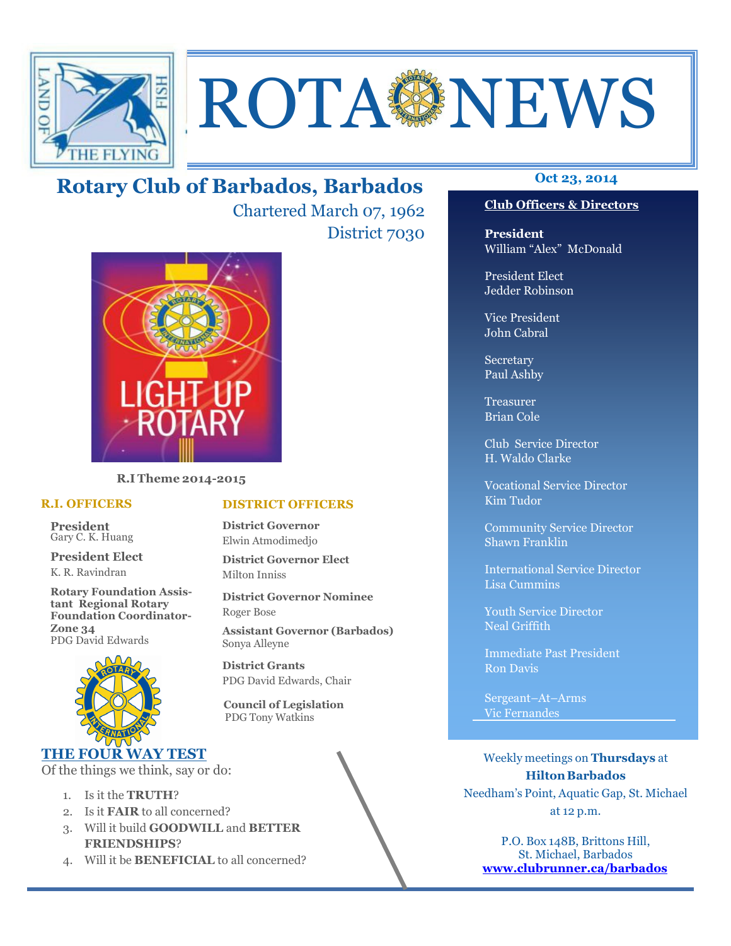

# **ROTA SENEWS**

# **Oct 23, 2014 Rotary Club of Barbados, Barbados**

Chartered March 07, 1962 District 7030



**R.I Theme 2014-2015** 

#### **R.I. OFFICERS**

**President** Gary C. K. Huang

**President Elect** K. R. Ravindran

**Rotary Foundation Assistant Regional Rotary Foundation Coordinator-Zone 34**  PDG David Edwards



## **THE FOUR WAY TEST**

Of the things we think, say or do:

- 1. Is it the **TRUTH**?
- 2. Is it **FAIR** to all concerned?
- 3. Will it build **GOODWILL** and **BETTER FRIENDSHIPS**?
- 4. Will it be **BENEFICIAL** to all concerned?

#### **Club Officers & Directors**

**President** William "Alex" McDonald

President Elect Jedder Robinson

Vice President John Cabral

Secretary Paul Ashby

Treasurer Brian Cole

Club Service Director H. Waldo Clarke

Vocational Service Director Kim Tudor

Community Service Director Shawn Franklin

International Service Director Lisa Cummins

Youth Service Director Neal Griffith

Immediate Past President Ron Davis

Sergeant–At–Arms Vic Fernandes

Weekly meetings on **Thursdays** at **Hilton Barbados** Needham's Point, Aquatic Gap, St. Michael at 12 p.m.

P.O. Box 148B, Brittons Hill, St. Michael, Barbados **www.clubrunner.ca/barbados**

#### **DISTRICT OFFICERS**

**District Governor** Elwin Atmodimedjo

**District Governor Elect** Milton Inniss

**District Governor Nominee**  Roger Bose

**Assistant Governor (Barbados)** Sonya Alleyne

**District Grants**  PDG David Edwards, Chair

 **Council of Legislation**  PDG Tony Watkins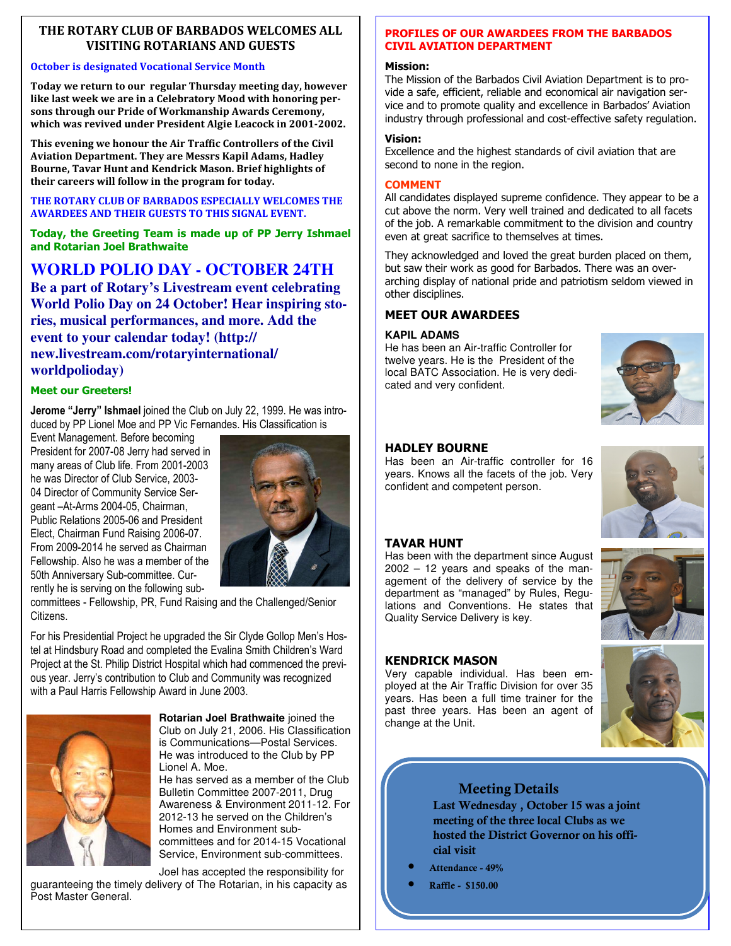#### **THE ROTARY CLUB OF BARBADOS WELCOMES ALL VISITING ROTARIANS AND GUESTS**

#### **October is designated Vocational Service Month**

**Today we return to our regular Thursday meeting day, however like last week we are in a Celebratory Mood with honoring persons through our Pride of Workmanship Awards Ceremony, which was revived under President Algie Leacock in 2001-2002.** 

**This evening we honour the Air Traffic Controllers of the Civil Aviation Department. They are Messrs Kapil Adams, Hadley Bourne, Tavar Hunt and Kendrick Mason. Brief highlights of their careers will follow in the program for today.**

**THE ROTARY CLUB OF BARBADOS ESPECIALLY WELCOMES THE AWARDEES AND THEIR GUESTS TO THIS SIGNAL EVENT.** 

#### **Today, the Greeting Team is made up of PP Jerry Ishmael and Rotarian Joel Brathwaite**

# **WORLD POLIO DAY - OCTOBER 24TH**

**Be a part of Rotary's Livestream event celebrating World Polio Day on 24 October! Hear inspiring stories, musical performances, and more. Add the event to your calendar today! (http:// new.livestream.com/rotaryinternational/ worldpolioday)** 

#### **Meet our Greeters!**

**Jerome "Jerry" Ishmael** joined the Club on July 22, 1999. He was introduced by PP Lionel Moe and PP Vic Fernandes. His Classification is

Event Management. Before becoming President for 2007-08 Jerry had served in many areas of Club life. From 2001-2003 he was Director of Club Service, 2003- 04 Director of Community Service Sergeant –At-Arms 2004-05, Chairman, Public Relations 2005-06 and President Elect, Chairman Fund Raising 2006-07. From 2009-2014 he served as Chairman Fellowship. Also he was a member of the 50th Anniversary Sub-committee. Currently he is serving on the following sub-



committees - Fellowship, PR, Fund Raising and the Challenged/Senior **Citizens** 

For his Presidential Project he upgraded the Sir Clyde Gollop Men's Hostel at Hindsbury Road and completed the Evalina Smith Children's Ward Project at the St. Philip District Hospital which had commenced the previous year. Jerry's contribution to Club and Community was recognized with a Paul Harris Fellowship Award in June 2003.



**Rotarian Joel Brathwaite** joined the Club on July 21, 2006. His Classification is Communications—Postal Services. He was introduced to the Club by PP Lionel A. Moe.

He has served as a member of the Club Bulletin Committee 2007-2011, Drug Awareness & Environment 2011-12. For 2012-13 he served on the Children's Homes and Environment subcommittees and for 2014-15 Vocational Service, Environment sub-committees.

Joel has accepted the responsibility for guaranteeing the timely delivery of The Rotarian, in his capacity as Post Master General.

#### **PROFILES OF OUR AWARDEES FROM THE BARBADOS CIVIL AVIATION DEPARTMENT**

#### **Mission:**

The Mission of the Barbados Civil Aviation Department is to provide a safe, efficient, reliable and economical air navigation service and to promote quality and excellence in Barbados' Aviation industry through professional and cost-effective safety regulation.

#### **Vision:**

Excellence and the highest standards of civil aviation that are second to none in the region.

#### **COMMENT**

All candidates displayed supreme confidence. They appear to be a cut above the norm. Very well trained and dedicated to all facets of the job. A remarkable commitment to the division and country even at great sacrifice to themselves at times.

They acknowledged and loved the great burden placed on them, but saw their work as good for Barbados. There was an overarching display of national pride and patriotism seldom viewed in other disciplines.

#### **MEET OUR AWARDEES**

#### **KAPIL ADAMS**

He has been an Air-traffic Controller for twelve years. He is the President of the local BATC Association. He is very dedicated and very confident.



#### **HADLEY BOURNE**

Has been an Air-traffic controller for 16 years. Knows all the facets of the job. Very confident and competent person.



#### **TAVAR HUNT**

Has been with the department since August 2002 – 12 years and speaks of the management of the delivery of service by the department as "managed" by Rules, Regulations and Conventions. He states that Quality Service Delivery is key.



Very capable individual. Has been employed at the Air Traffic Division for over 35 years. Has been a full time trainer for the past three years. Has been an agent of change at the Unit.

## **Meeting Details**

**Last Wednesday , October 15 was a joint meeting of the three local Clubs as we hosted the District Governor on his official visit** 

- **Attendance 49%**
- **Raffle \$150.00**



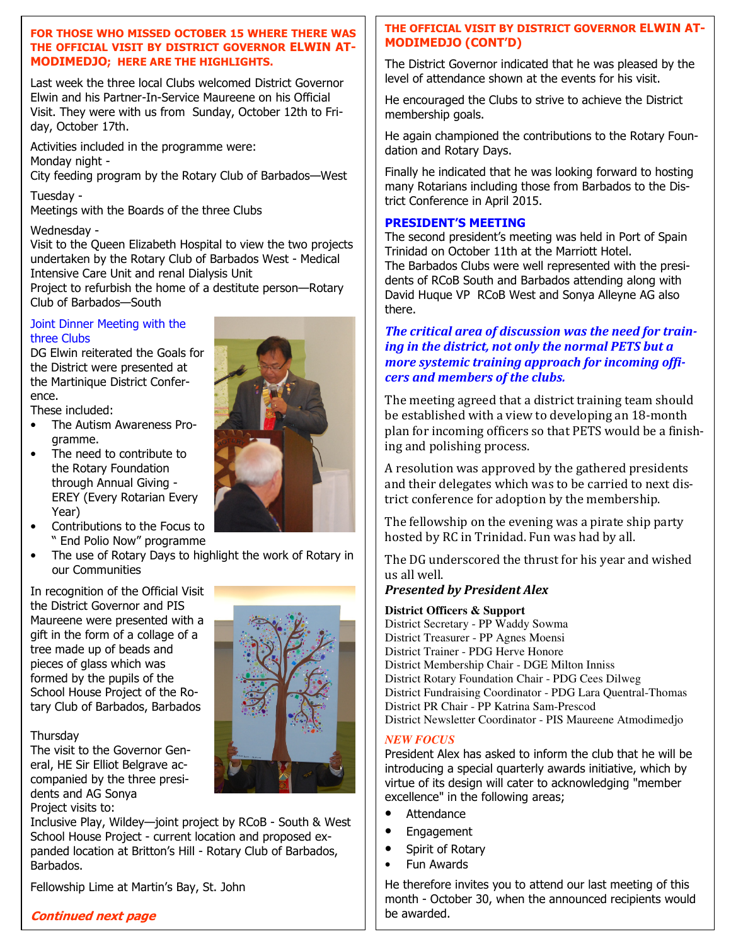#### **FOR THOSE WHO MISSED OCTOBER 15 WHERE THERE WAS THE OFFICIAL VISIT BY DISTRICT GOVERNOR ELWIN AT-MODIMEDJO; HERE ARE THE HIGHLIGHTS.**

Last week the three local Clubs welcomed District Governor Elwin and his Partner-In-Service Maureene on his Official Visit. They were with us from Sunday, October 12th to Friday, October 17th.

Activities included in the programme were: Monday night -

City feeding program by the Rotary Club of Barbados—West

Tuesday -

Meetings with the Boards of the three Clubs

#### Wednesday -

Visit to the Queen Elizabeth Hospital to view the two projects undertaken by the Rotary Club of Barbados West - Medical Intensive Care Unit and renal Dialysis Unit

Project to refurbish the home of a destitute person—Rotary Club of Barbados—South

#### Joint Dinner Meeting with the three Clubs

DG Elwin reiterated the Goals for the District were presented at the Martinique District Conference.

These included:

- The Autism Awareness Programme.
- The need to contribute to the Rotary Foundation through Annual Giving - EREY (Every Rotarian Every Year)
- Contributions to the Focus to " End Polio Now" programme
- The use of Rotary Days to highlight the work of Rotary in our Communities

In recognition of the Official Visit the District Governor and PIS Maureene were presented with a gift in the form of a collage of a tree made up of beads and pieces of glass which was formed by the pupils of the School House Project of the Rotary Club of Barbados, Barbados

#### **Thursday**

The visit to the Governor General, HE Sir Elliot Belgrave accompanied by the three presidents and AG Sonya Project visits to:



Inclusive Play, Wildey—joint project by RCoB - South & West School House Project - current location and proposed expanded location at Britton's Hill - Rotary Club of Barbados, Barbados.

Fellowship Lime at Martin's Bay, St. John

#### **THE OFFICIAL VISIT BY DISTRICT GOVERNOR ELWIN AT-MODIMEDJO (CONT'D)**

The District Governor indicated that he was pleased by the level of attendance shown at the events for his visit.

He encouraged the Clubs to strive to achieve the District membership goals.

He again championed the contributions to the Rotary Foundation and Rotary Days.

Finally he indicated that he was looking forward to hosting many Rotarians including those from Barbados to the District Conference in April 2015.

#### **PRESIDENT'S MEETING**

The second president's meeting was held in Port of Spain Trinidad on October 11th at the Marriott Hotel. The Barbados Clubs were well represented with the presidents of RCoB South and Barbados attending along with David Huque VP RCoB West and Sonya Alleyne AG also there.

#### *The critical area of discussion was the need for training in the district, not only the normal PETS but a more systemic training approach for incoming officers and members of the clubs.*

The meeting agreed that a district training team should be established with a view to developing an 18-month plan for incoming officers so that PETS would be a finishing and polishing process.

A resolution was approved by the gathered presidents and their delegates which was to be carried to next district conference for adoption by the membership.

The fellowship on the evening was a pirate ship party hosted by RC in Trinidad. Fun was had by all.

The DG underscored the thrust for his year and wished us all well.

#### *Presented by President Alex*

#### **District Officers & Support**

District Secretary - PP Waddy Sowma District Treasurer - PP Agnes Moensi District Trainer - PDG Herve Honore District Membership Chair - DGE Milton Inniss District Rotary Foundation Chair - PDG Cees Dilweg District Fundraising Coordinator - PDG Lara Quentral-Thomas District PR Chair - PP Katrina Sam-Prescod District Newsletter Coordinator - PIS Maureene Atmodimedjo

#### *NEW FOCUS*

President Alex has asked to inform the club that he will be introducing a special quarterly awards initiative, which by virtue of its design will cater to acknowledging "member excellence" in the following areas;

- Attendance
- Engagement
- Spirit of Rotary
- Fun Awards

He therefore invites you to attend our last meeting of this month - October 30, when the announced recipients would be awarded.

**Continued next page**